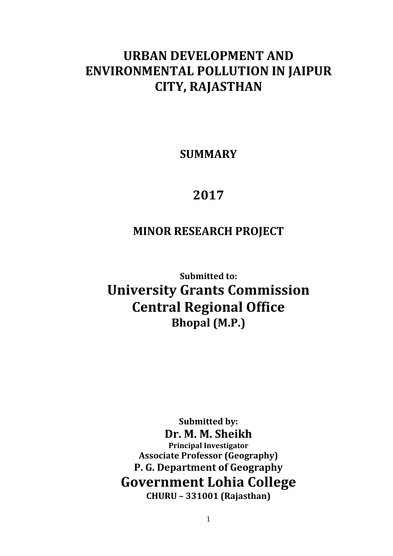## **URBAN DEVELOPMENT AND ENVIRONMENTAL POLLUTION IN JAIPUR CITY, RAJASTHAN**

**SUMMARY** 

# **2017**

### **MINOR RESEARCH PROJECT**

**Submitted to: University Grants Commission Central Regional Office Bhopal (M.P.)** 

**Submitted by: Dr. M. M. Sheikh Principal Investigator Associate Professor (Geography) P. G. Department of Geography Government Lohia College CHURU – 331001 (Rajasthan)**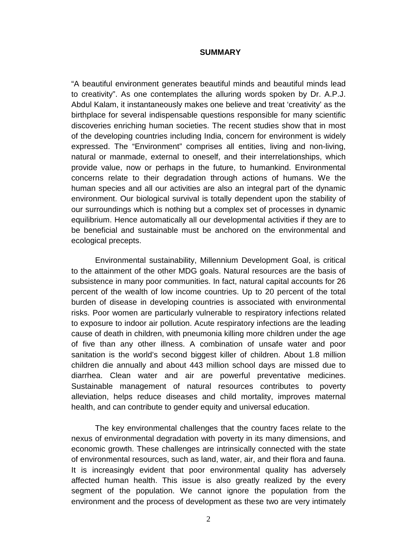#### **SUMMARY**

"A beautiful environment generates beautiful minds and beautiful minds lead to creativity". As one contemplates the alluring words spoken by Dr. A.P.J. Abdul Kalam, it instantaneously makes one believe and treat 'creativity' as the birthplace for several indispensable questions responsible for many scientific discoveries enriching human societies. The recent studies show that in most of the developing countries including India, concern for environment is widely expressed. The "Environment" comprises all entities, living and non-living, natural or manmade, external to oneself, and their interrelationships, which provide value, now or perhaps in the future, to humankind. Environmental concerns relate to their degradation through actions of humans. We the human species and all our activities are also an integral part of the dynamic environment. Our biological survival is totally dependent upon the stability of our surroundings which is nothing but a complex set of processes in dynamic equilibrium. Hence automatically all our developmental activities if they are to be beneficial and sustainable must be anchored on the environmental and ecological precepts.

Environmental sustainability, Millennium Development Goal, is critical to the attainment of the other MDG goals. Natural resources are the basis of subsistence in many poor communities. In fact, natural capital accounts for 26 percent of the wealth of low income countries. Up to 20 percent of the total burden of disease in developing countries is associated with environmental risks. Poor women are particularly vulnerable to respiratory infections related to exposure to indoor air pollution. Acute respiratory infections are the leading cause of death in children, with pneumonia killing more children under the age of five than any other illness. A combination of unsafe water and poor sanitation is the world's second biggest killer of children. About 1.8 million children die annually and about 443 million school days are missed due to diarrhea. Clean water and air are powerful preventative medicines. Sustainable management of natural resources contributes to poverty alleviation, helps reduce diseases and child mortality, improves maternal health, and can contribute to gender equity and universal education.

The key environmental challenges that the country faces relate to the nexus of environmental degradation with poverty in its many dimensions, and economic growth. These challenges are intrinsically connected with the state of environmental resources, such as land, water, air, and their flora and fauna. It is increasingly evident that poor environmental quality has adversely affected human health. This issue is also greatly realized by the every segment of the population. We cannot ignore the population from the environment and the process of development as these two are very intimately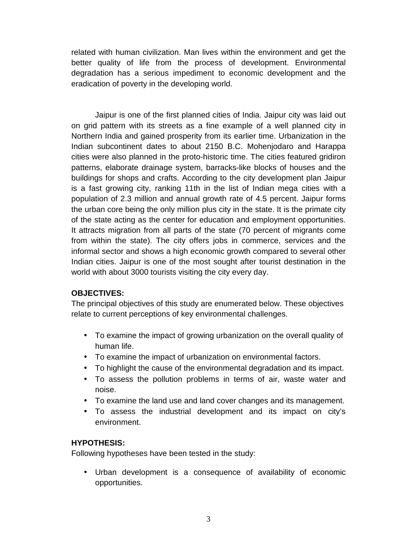related with human civilization. Man lives within the environment and get the better quality of life from the process of development. Environmental degradation has a serious impediment to economic development and the eradication of poverty in the developing world.

Jaipur is one of the first planned cities of India. Jaipur city was laid out on grid pattern with its streets as a fine example of a well planned city in Northern India and gained prosperity from its earlier time. Urbanization in the Indian subcontinent dates to about 2150 B.C. Mohenjodaro and Harappa cities were also planned in the proto-historic time. The cities featured gridiron patterns, elaborate drainage system, barracks-like blocks of houses and the buildings for shops and crafts. According to the city development plan Jaipur is a fast growing city, ranking 11th in the list of Indian mega cities with a population of 2.3 million and annual growth rate of 4.5 percent. Jaipur forms the urban core being the only million plus city in the state. It is the primate city of the state acting as the center for education and employment opportunities. It attracts migration from all parts of the state (70 percent of migrants come from within the state). The city offers jobs in commerce, services and the informal sector and shows a high economic growth compared to several other Indian cities. Jaipur is one of the most sought after tourist destination in the world with about 3000 tourists visiting the city every day.

### **OBJECTIVES:**

The principal objectives of this study are enumerated below. These objectives relate to current perceptions of key environmental challenges.

- To examine the impact of growing urbanization on the overall quality of human life.
- To examine the impact of urbanization on environmental factors.
- To highlight the cause of the environmental degradation and its impact.
- To assess the pollution problems in terms of air, waste water and noise.
- To examine the land use and land cover changes and its management.
- To assess the industrial development and its impact on city's environment.

### **HYPOTHESIS:**

Following hypotheses have been tested in the study:

• Urban development is a consequence of availability of economic opportunities.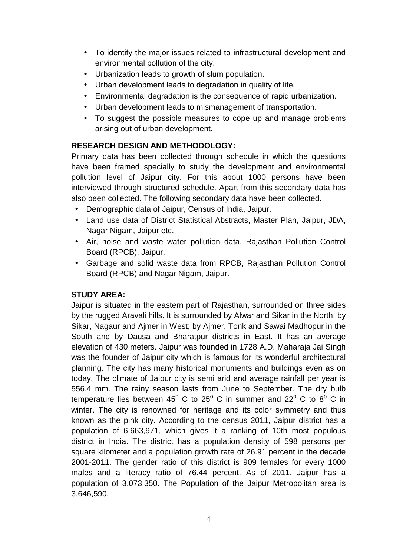- To identify the major issues related to infrastructural development and environmental pollution of the city.
- Urbanization leads to growth of slum population.
- Urban development leads to degradation in quality of life.
- Environmental degradation is the consequence of rapid urbanization.
- Urban development leads to mismanagement of transportation.
- To suggest the possible measures to cope up and manage problems arising out of urban development.

### **RESEARCH DESIGN AND METHODOLOGY:**

Primary data has been collected through schedule in which the questions have been framed specially to study the development and environmental pollution level of Jaipur city. For this about 1000 persons have been interviewed through structured schedule. Apart from this secondary data has also been collected. The following secondary data have been collected.

- Demographic data of Jaipur, Census of India, Jaipur.
- Land use data of District Statistical Abstracts, Master Plan, Jaipur, JDA, Nagar Nigam, Jaipur etc.
- Air, noise and waste water pollution data, Rajasthan Pollution Control Board (RPCB), Jaipur.
- Garbage and solid waste data from RPCB, Rajasthan Pollution Control Board (RPCB) and Nagar Nigam, Jaipur.

### **STUDY AREA:**

Jaipur is situated in the eastern part of Rajasthan, surrounded on three sides by the rugged Aravali hills. It is surrounded by Alwar and Sikar in the North; by Sikar, Nagaur and Ajmer in West; by Ajmer, Tonk and Sawai Madhopur in the South and by Dausa and Bharatpur districts in East. It has an average elevation of 430 meters. Jaipur was founded in 1728 A.D. Maharaja Jai Singh was the founder of Jaipur city which is famous for its wonderful architectural planning. The city has many historical monuments and buildings even as on today. The climate of Jaipur city is semi arid and average rainfall per year is 556.4 mm. The rainy season lasts from June to September. The dry bulb temperature lies between 45<sup>0</sup> C to 25<sup>0</sup> C in summer and 22<sup>0</sup> C to 8<sup>0</sup> C in winter. The city is renowned for heritage and its color symmetry and thus known as the pink city. According to the census 2011, Jaipur district has a population of 6,663,971, which gives it a ranking of 10th most populous district in India. The district has a population density of 598 persons per square kilometer and a population growth rate of 26.91 percent in the decade 2001-2011. The gender ratio of this district is 909 females for every 1000 males and a literacy ratio of 76.44 percent. As of 2011, Jaipur has a population of 3,073,350. The Population of the Jaipur Metropolitan area is 3,646,590.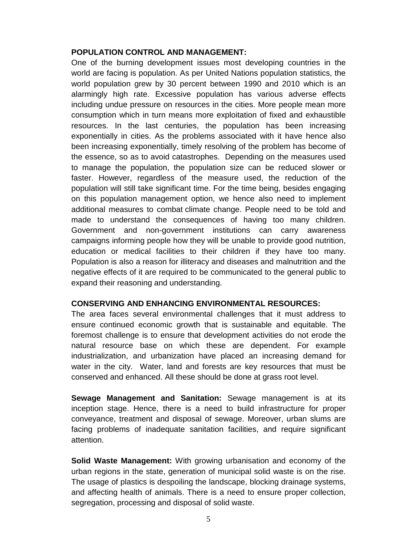#### **POPULATION CONTROL AND MANAGEMENT:**

One of the burning development issues most developing countries in the world are facing is population. As per United Nations population statistics, the world population grew by 30 percent between 1990 and 2010 which is an alarmingly high rate. Excessive population has various adverse effects including undue pressure on resources in the cities. More people mean more consumption which in turn means more exploitation of fixed and exhaustible resources. In the last centuries, the population has been increasing exponentially in cities. As the problems associated with it have hence also been increasing exponentially, timely resolving of the problem has become of the essence, so as to avoid catastrophes. Depending on the measures used to manage the population, the population size can be reduced slower or faster. However, regardless of the measure used, the reduction of the population will still take significant time. For the time being, besides engaging on this population management option, we hence also need to implement additional measures to combat climate change. People need to be told and made to understand the consequences of having too many children. Government and non-government institutions can carry awareness campaigns informing people how they will be unable to provide good nutrition, education or medical facilities to their children if they have too many. Population is also a reason for illiteracy and diseases and malnutrition and the negative effects of it are required to be communicated to the general public to expand their reasoning and understanding.

#### **CONSERVING AND ENHANCING ENVIRONMENTAL RESOURCES:**

The area faces several environmental challenges that it must address to ensure continued economic growth that is sustainable and equitable. The foremost challenge is to ensure that development activities do not erode the natural resource base on which these are dependent. For example industrialization, and urbanization have placed an increasing demand for water in the city. Water, land and forests are key resources that must be conserved and enhanced. All these should be done at grass root level.

**Sewage Management and Sanitation:** Sewage management is at its inception stage. Hence, there is a need to build infrastructure for proper conveyance, treatment and disposal of sewage. Moreover, urban slums are facing problems of inadequate sanitation facilities, and require significant attention.

**Solid Waste Management:** With growing urbanisation and economy of the urban regions in the state, generation of municipal solid waste is on the rise. The usage of plastics is despoiling the landscape, blocking drainage systems, and affecting health of animals. There is a need to ensure proper collection, segregation, processing and disposal of solid waste.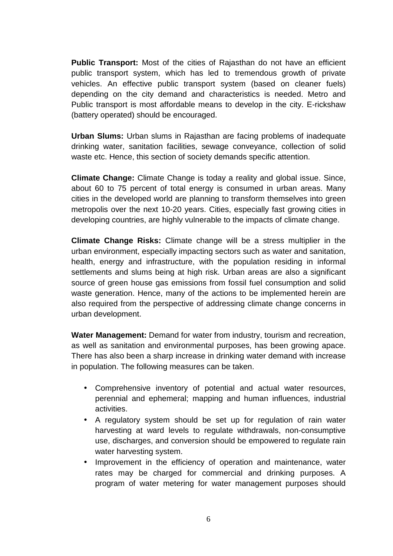**Public Transport:** Most of the cities of Rajasthan do not have an efficient public transport system, which has led to tremendous growth of private vehicles. An effective public transport system (based on cleaner fuels) depending on the city demand and characteristics is needed. Metro and Public transport is most affordable means to develop in the city. E-rickshaw (battery operated) should be encouraged.

**Urban Slums:** Urban slums in Rajasthan are facing problems of inadequate drinking water, sanitation facilities, sewage conveyance, collection of solid waste etc. Hence, this section of society demands specific attention.

**Climate Change:** Climate Change is today a reality and global issue. Since, about 60 to 75 percent of total energy is consumed in urban areas. Many cities in the developed world are planning to transform themselves into green metropolis over the next 10-20 years. Cities, especially fast growing cities in developing countries, are highly vulnerable to the impacts of climate change.

**Climate Change Risks:** Climate change will be a stress multiplier in the urban environment, especially impacting sectors such as water and sanitation, health, energy and infrastructure, with the population residing in informal settlements and slums being at high risk. Urban areas are also a significant source of green house gas emissions from fossil fuel consumption and solid waste generation. Hence, many of the actions to be implemented herein are also required from the perspective of addressing climate change concerns in urban development.

**Water Management:** Demand for water from industry, tourism and recreation, as well as sanitation and environmental purposes, has been growing apace. There has also been a sharp increase in drinking water demand with increase in population. The following measures can be taken.

- Comprehensive inventory of potential and actual water resources, perennial and ephemeral; mapping and human influences, industrial activities.
- A regulatory system should be set up for regulation of rain water harvesting at ward levels to regulate withdrawals, non-consumptive use, discharges, and conversion should be empowered to regulate rain water harvesting system.
- Improvement in the efficiency of operation and maintenance, water rates may be charged for commercial and drinking purposes. A program of water metering for water management purposes should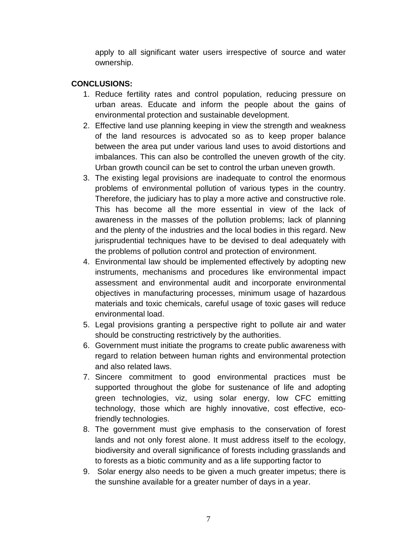apply to all significant water users irrespective of source and water ownership.

#### **CONCLUSIONS:**

- 1. Reduce fertility rates and control population, reducing pressure on urban areas. Educate and inform the people about the gains of environmental protection and sustainable development.
- 2. Effective land use planning keeping in view the strength and weakness of the land resources is advocated so as to keep proper balance between the area put under various land uses to avoid distortions and imbalances. This can also be controlled the uneven growth of the city. Urban growth council can be set to control the urban uneven growth.
- 3. The existing legal provisions are inadequate to control the enormous problems of environmental pollution of various types in the country. Therefore, the judiciary has to play a more active and constructive role. This has become all the more essential in view of the lack of awareness in the masses of the pollution problems; lack of planning and the plenty of the industries and the local bodies in this regard. New jurisprudential techniques have to be devised to deal adequately with the problems of pollution control and protection of environment.
- 4. Environmental law should be implemented effectively by adopting new instruments, mechanisms and procedures like environmental impact assessment and environmental audit and incorporate environmental objectives in manufacturing processes, minimum usage of hazardous materials and toxic chemicals, careful usage of toxic gases will reduce environmental load.
- 5. Legal provisions granting a perspective right to pollute air and water should be constructing restrictively by the authorities.
- 6. Government must initiate the programs to create public awareness with regard to relation between human rights and environmental protection and also related laws.
- 7. Sincere commitment to good environmental practices must be supported throughout the globe for sustenance of life and adopting green technologies, viz, using solar energy, low CFC emitting technology, those which are highly innovative, cost effective, ecofriendly technologies.
- 8. The government must give emphasis to the conservation of forest lands and not only forest alone. It must address itself to the ecology, biodiversity and overall significance of forests including grasslands and to forests as a biotic community and as a life supporting factor to
- 9. Solar energy also needs to be given a much greater impetus; there is the sunshine available for a greater number of days in a year.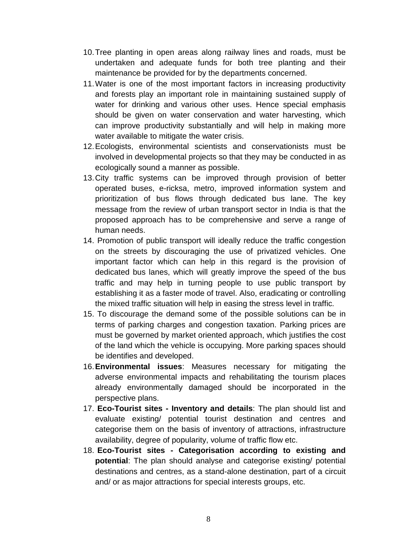- 10. Tree planting in open areas along railway lines and roads, must be undertaken and adequate funds for both tree planting and their maintenance be provided for by the departments concerned.
- 11. Water is one of the most important factors in increasing productivity and forests play an important role in maintaining sustained supply of water for drinking and various other uses. Hence special emphasis should be given on water conservation and water harvesting, which can improve productivity substantially and will help in making more water available to mitigate the water crisis.
- 12. Ecologists, environmental scientists and conservationists must be involved in developmental projects so that they may be conducted in as ecologically sound a manner as possible.
- 13. City traffic systems can be improved through provision of better operated buses, e-ricksa, metro, improved information system and prioritization of bus flows through dedicated bus lane. The key message from the review of urban transport sector in India is that the proposed approach has to be comprehensive and serve a range of human needs.
- 14. Promotion of public transport will ideally reduce the traffic congestion on the streets by discouraging the use of privatized vehicles. One important factor which can help in this regard is the provision of dedicated bus lanes, which will greatly improve the speed of the bus traffic and may help in turning people to use public transport by establishing it as a faster mode of travel. Also, eradicating or controlling the mixed traffic situation will help in easing the stress level in traffic.
- 15. To discourage the demand some of the possible solutions can be in terms of parking charges and congestion taxation. Parking prices are must be governed by market oriented approach, which justifies the cost of the land which the vehicle is occupying. More parking spaces should be identifies and developed.
- 16. **Environmental issues**: Measures necessary for mitigating the adverse environmental impacts and rehabilitating the tourism places already environmentally damaged should be incorporated in the perspective plans.
- 17. **Eco-Tourist sites Inventory and details**: The plan should list and evaluate existing/ potential tourist destination and centres and categorise them on the basis of inventory of attractions, infrastructure availability, degree of popularity, volume of traffic flow etc.
- 18. **Eco-Tourist sites Categorisation according to existing and potential**: The plan should analyse and categorise existing/ potential destinations and centres, as a stand-alone destination, part of a circuit and/ or as major attractions for special interests groups, etc.